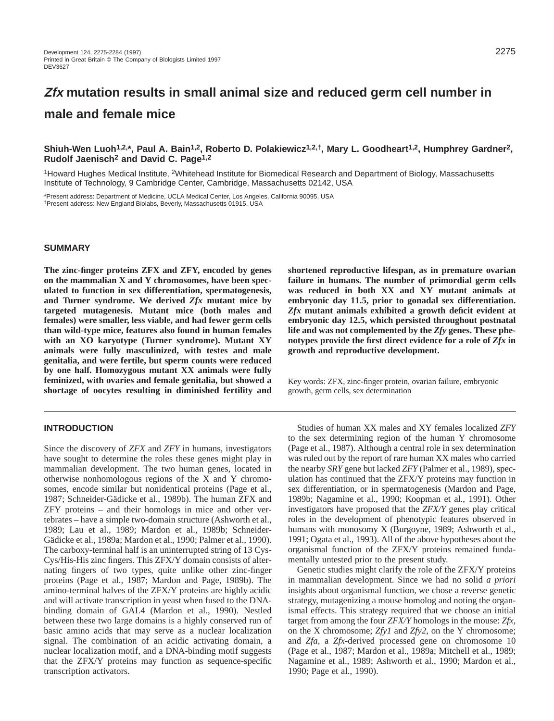# **Zfx mutation results in small animal size and reduced germ cell number in male and female mice**

# **Shiuh-Wen Luoh1,2,\*, Paul A. Bain1,2, Roberto D. Polakiewicz1,2,†, Mary L. Goodheart1,2, Humphrey Gardner2, Rudolf Jaenisch2 and David C. Page1,2**

<sup>1</sup>Howard Hughes Medical Institute, <sup>2</sup>Whitehead Institute for Biomedical Research and Department of Biology, Massachusetts Institute of Technology, 9 Cambridge Center, Cambridge, Massachusetts 02142, USA

\*Present address: Department of Medicine, UCLA Medical Center, Los Angeles, California 90095, USA †Present address: New England Biolabs, Beverly, Massachusetts 01915, USA

# **SUMMARY**

**The zinc-finger proteins ZFX and ZFY, encoded by genes on the mammalian X and Y chromosomes, have been speculated to function in sex differentiation, spermatogenesis, and Turner syndrome. We derived** *Zfx* **mutant mice by targeted mutagenesis. Mutant mice (both males and females) were smaller, less viable, and had fewer germ cells than wild-type mice, features also found in human females with an XO karyotype (Turner syndrome). Mutant XY animals were fully masculinized, with testes and male genitalia, and were fertile, but sperm counts were reduced by one half. Homozygous mutant XX animals were fully feminized, with ovaries and female genitalia, but showed a shortage of oocytes resulting in diminished fertility and**

## **INTRODUCTION**

Since the discovery of *ZFX* and *ZFY* in humans, investigators have sought to determine the roles these genes might play in mammalian development. The two human genes, located in otherwise nonhomologous regions of the X and Y chromosomes, encode similar but nonidentical proteins (Page et al., 1987; Schneider-Gädicke et al., 1989b). The human ZFX and ZFY proteins – and their homologs in mice and other vertebrates – have a simple two-domain structure (Ashworth et al., 1989; Lau et al., 1989; Mardon et al., 1989b; Schneider-Gädicke et al., 1989a; Mardon et al., 1990; Palmer et al., 1990). The carboxy-terminal half is an uninterrupted string of 13 Cys-Cys/His-His zinc fingers. This ZFX/Y domain consists of alternating fingers of two types, quite unlike other zinc-finger proteins (Page et al., 1987; Mardon and Page, 1989b). The amino-terminal halves of the ZFX/Y proteins are highly acidic and will activate transcription in yeast when fused to the DNAbinding domain of GAL4 (Mardon et al., 1990). Nestled between these two large domains is a highly conserved run of basic amino acids that may serve as a nuclear localization signal. The combination of an acidic activating domain, a nuclear localization motif, and a DNA-binding motif suggests that the ZFX/Y proteins may function as sequence-specific transcription activators.

**shortened reproductive lifespan, as in premature ovarian failure in humans. The number of primordial germ cells was reduced in both XX and XY mutant animals at embryonic day 11.5, prior to gonadal sex differentiation.** *Zfx* **mutant animals exhibited a growth deficit evident at embryonic day 12.5, which persisted throughout postnatal life and was not complemented by the** *Zfy* **genes. These phenotypes provide the first direct evidence for a role of** *Zfx* **in growth and reproductive development.**

Key words: ZFX, zinc-finger protein, ovarian failure, embryonic growth, germ cells, sex determination

Studies of human XX males and XY females localized *ZFY* to the sex determining region of the human Y chromosome (Page et al., 1987). Although a central role in sex determination was ruled out by the report of rare human XX males who carried the nearby *SRY* gene but lacked *ZFY* (Palmer et al., 1989), speculation has continued that the ZFX/Y proteins may function in sex differentiation, or in spermatogenesis (Mardon and Page, 1989b; Nagamine et al., 1990; Koopman et al., 1991). Other investigators have proposed that the *ZFX/Y* genes play critical roles in the development of phenotypic features observed in humans with monosomy X (Burgoyne, 1989; Ashworth et al., 1991; Ogata et al., 1993). All of the above hypotheses about the organismal function of the ZFX/Y proteins remained fundamentally untested prior to the present study.

Genetic studies might clarify the role of the ZFX/Y proteins in mammalian development. Since we had no solid *a priori* insights about organismal function, we chose a reverse genetic strategy, mutagenizing a mouse homolog and noting the organismal effects. This strategy required that we choose an initial target from among the four *ZFX/Y* homologs in the mouse: *Zfx*, on the X chromosome; *Zfy1* and *Zfy2*, on the Y chromosome; and *Zfa*, a *Zfx*-derived processed gene on chromosome 10 (Page et al., 1987; Mardon et al., 1989a; Mitchell et al., 1989; Nagamine et al., 1989; Ashworth et al., 1990; Mardon et al., 1990; Page et al., 1990).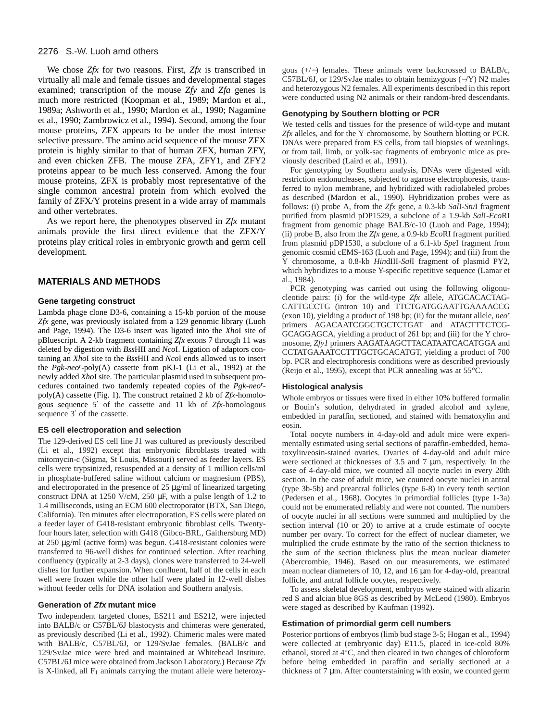We chose *Zfx* for two reasons. First, *Zfx* is transcribed in virtually all male and female tissues and developmental stages examined; transcription of the mouse *Zfy* and *Zfa* genes is much more restricted (Koopman et al., 1989; Mardon et al., 1989a; Ashworth et al., 1990; Mardon et al., 1990; Nagamine et al., 1990; Zambrowicz et al., 1994). Second, among the four mouse proteins, ZFX appears to be under the most intense selective pressure. The amino acid sequence of the mouse ZFX protein is highly similar to that of human ZFX, human ZFY, and even chicken ZFB. The mouse ZFA, ZFY1, and ZFY2 proteins appear to be much less conserved. Among the four mouse proteins, ZFX is probably most representative of the single common ancestral protein from which evolved the family of ZFX/Y proteins present in a wide array of mammals and other vertebrates.

As we report here, the phenotypes observed in *Zfx* mutant animals provide the first direct evidence that the ZFX/Y proteins play critical roles in embryonic growth and germ cell development.

#### **MATERIALS AND METHODS**

#### **Gene targeting construct**

Lambda phage clone D3-6, containing a 15-kb portion of the mouse *Zfx* gene, was previously isolated from a 129 genomic library (Luoh and Page, 1994). The D3-6 insert was ligated into the *Xho*I site of pBluescript. A 2-kb fragment containing *Zfx* exons 7 through 11 was deleted by digestion with *Bss*HII and *Nco*I. Ligation of adaptors containing an *Xho*I site to the *Bss*HII and *Nco*I ends allowed us to insert the *Pgk*-*neo<sup>r</sup>* -poly(A) cassette from pKJ-1 (Li et al., 1992) at the newly added *Xho*I site. The particular plasmid used in subsequent procedures contained two tandemly repeated copies of the *Pgk*-*neor* poly(A) cassette (Fig. 1). The construct retained 2 kb of *Zfx*-homologous sequence 5′ of the cassette and 11 kb of *Zfx*-homologous sequence 3′ of the cassette.

#### **ES cell electroporation and selection**

The 129-derived ES cell line J1 was cultured as previously described (Li et al., 1992) except that embryonic fibroblasts treated with mitomycin-c (Sigma, St Louis, Missouri) served as feeder layers. ES cells were trypsinized, resuspended at a density of 1 million cells/ml in phosphate-buffered saline without calcium or magnesium (PBS), and electroporated in the presence of 25 µg/ml of linearized targeting construct DNA at 1250 V/cM, 250 µF, with a pulse length of 1.2 to 1.4 milliseconds, using an ECM 600 electroporator (BTX, San Diego, California). Ten minutes after electroporation, ES cells were plated on a feeder layer of G418-resistant embryonic fibroblast cells. Twentyfour hours later, selection with G418 (Gibco-BRL, Gaithersburg MD) at 250 µg/ml (active form) was begun. G418-resistant colonies were transferred to 96-well dishes for continued selection. After reaching confluency (typically at 2-3 days), clones were transferred to 24-well dishes for further expansion. When confluent, half of the cells in each well were frozen while the other half were plated in 12-well dishes without feeder cells for DNA isolation and Southern analysis.

#### **Generation of Zfx mutant mice**

Two independent targeted clones, ES211 and ES212, were injected into BALB/c or C57BL/6J blastocysts and chimeras were generated, as previously described (Li et al., 1992). Chimeric males were mated with BALB/c, C57BL/6J, or 129/SvJae females. (BALB/c and 129/SvJae mice were bred and maintained at Whitehead Institute. C57BL/6J mice were obtained from Jackson Laboratory.) Because *Zfx* is X-linked, all  $F_1$  animals carrying the mutant allele were heterozygous (+/−) females. These animals were backcrossed to BALB/c, C57BL/6J, or 129/SvJae males to obtain hemizygous (−/Y) N2 males and heterozygous N2 females. All experiments described in this report were conducted using N2 animals or their random-bred descendants.

#### **Genotyping by Southern blotting or PCR**

We tested cells and tissues for the presence of wild-type and mutant *Zfx* alleles, and for the Y chromosome, by Southern blotting or PCR. DNAs were prepared from ES cells, from tail biopsies of weanlings, or from tail, limb, or yolk-sac fragments of embryonic mice as previously described (Laird et al., 1991).

For genotyping by Southern analysis, DNAs were digested with restriction endonucleases, subjected to agarose electrophoresis, transferred to nylon membrane, and hybridized with radiolabeled probes as described (Mardon et al., 1990). Hybridization probes were as follows: (i) probe A, from the *Zfx* gene, a 0.3-kb *Sal*I-*Stu*I fragment purified from plasmid pDP1529, a subclone of a 1.9-kb *Sal*I-*Eco*RI fragment from genomic phage BALB/c-10 (Luoh and Page, 1994); (ii) probe B, also from the *Zfx* gene, a 0.9-kb *Eco*RI fragment purified from plasmid pDP1530, a subclone of a 6.1-kb *Spe*I fragment from genomic cosmid cEMS-163 (Luoh and Page, 1994); and (iii) from the Y chromosome, a 0.8-kb *Hin*dIII-*Sal*I fragment of plasmid PY2, which hybridizes to a mouse Y-specific repetitive sequence (Lamar et al., 1984).

PCR genotyping was carried out using the following oligonucleotide pairs: (i) for the wild-type *Zfx* allele, ATGCACACTAG-CATTGCCTG (intron 10) and TTCTGATGGAATTGAAAACCG (exon 10), yielding a product of 198 bp; (ii) for the mutant allele, *neor* primers AGACAATCGGCTGCTCTGAT and ATACTTTCTCG-GCAGGAGCA, yielding a product of 261 bp; and (iii) for the Y chromosome, *Zfy1* primers AAGATAAGCTTACATAATCACATGGA and CCTATGAAATCCTTTGCTGCACATGT, yielding a product of 700 bp. PCR and electrophoresis conditions were as described previously (Reijo et al., 1995), except that PCR annealing was at 55°C.

#### **Histological analysis**

Whole embryos or tissues were fixed in either 10% buffered formalin or Bouin's solution, dehydrated in graded alcohol and xylene, embedded in paraffin, sectioned, and stained with hematoxylin and eosin.

Total oocyte numbers in 4-day-old and adult mice were experimentally estimated using serial sections of paraffin-embedded, hematoxylin/eosin-stained ovaries. Ovaries of 4-day-old and adult mice were sectioned at thicknesses of 3.5 and 7  $\mu$ m, respectively. In the case of 4-day-old mice, we counted all oocyte nuclei in every 20th section. In the case of adult mice, we counted oocyte nuclei in antral (type 3b-5b) and preantral follicles (type 6-8) in every tenth section (Pedersen et al., 1968). Oocytes in primordial follicles (type 1-3a) could not be enumerated reliably and were not counted. The numbers of oocyte nuclei in all sections were summed and multiplied by the section interval (10 or 20) to arrive at a crude estimate of oocyte number per ovary. To correct for the effect of nuclear diameter, we multiplied the crude estimate by the ratio of the section thickness to the sum of the section thickness plus the mean nuclear diameter (Abercrombie, 1946). Based on our measurements, we estimated mean nuclear diameters of 10, 12, and 16 µm for 4-day-old, preantral follicle, and antral follicle oocytes, respectively.

To assess skeletal development, embryos were stained with alizarin red S and alcian blue 8GS as described by McLeod (1980). Embryos were staged as described by Kaufman (1992).

#### **Estimation of primordial germ cell numbers**

Posterior portions of embryos (limb bud stage 3-5; Hogan et al., 1994) were collected at (embryonic day) E11.5, placed in ice-cold 80% ethanol, stored at 4°C, and then cleared in two changes of chloroform before being embedded in paraffin and serially sectioned at a thickness of 7 µm. After counterstaining with eosin, we counted germ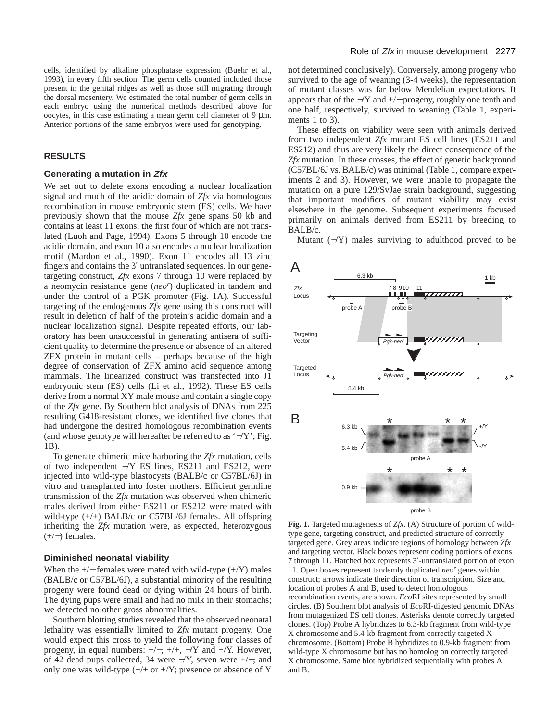cells, identified by alkaline phosphatase expression (Buehr et al., 1993), in every fifth section. The germ cells counted included those present in the genital ridges as well as those still migrating through the dorsal mesentery. We estimated the total number of germ cells in each embryo using the numerical methods described above for oocytes, in this case estimating a mean germ cell diameter of  $9 \mu m$ . Anterior portions of the same embryos were used for genotyping.

## **RESULTS**

#### **Generating a mutation in Zfx**

We set out to delete exons encoding a nuclear localization signal and much of the acidic domain of *Zfx* via homologous recombination in mouse embryonic stem (ES) cells. We have previously shown that the mouse *Zfx* gene spans 50 kb and contains at least 11 exons, the first four of which are not translated (Luoh and Page, 1994). Exons 5 through 10 encode the acidic domain, and exon 10 also encodes a nuclear localization motif (Mardon et al., 1990). Exon 11 encodes all 13 zinc fingers and contains the 3′ untranslated sequences. In our genetargeting construct, *Zfx* exons 7 through 10 were replaced by a neomycin resistance gene (*neor* ) duplicated in tandem and under the control of a PGK promoter (Fig. 1A). Successful targeting of the endogenous *Zfx* gene using this construct will result in deletion of half of the protein's acidic domain and a nuclear localization signal. Despite repeated efforts, our laboratory has been unsuccessful in generating antisera of sufficient quality to determine the presence or absence of an altered ZFX protein in mutant cells – perhaps because of the high degree of conservation of ZFX amino acid sequence among mammals. The linearized construct was transfected into J1 embryonic stem (ES) cells (Li et al., 1992). These ES cells derive from a normal XY male mouse and contain a single copy of the *Zfx* gene. By Southern blot analysis of DNAs from 225 resulting G418-resistant clones, we identified five clones that had undergone the desired homologous recombination events (and whose genotype will hereafter be referred to as '−/Y'; Fig. 1B).

To generate chimeric mice harboring the *Zfx* mutation, cells of two independent −/Y ES lines, ES211 and ES212, were injected into wild-type blastocysts (BALB/c or C57BL/6J) in vitro and transplanted into foster mothers. Efficient germline transmission of the *Zfx* mutation was observed when chimeric males derived from either ES211 or ES212 were mated with wild-type  $(+/+)$  BALB/c or C57BL/6J females. All offspring inheriting the *Zfx* mutation were, as expected, heterozygous  $(+/-)$  females.

#### **Diminished neonatal viability**

When the  $+/-$  females were mated with wild-type  $(+/Y)$  males (BALB/c or C57BL/6J), a substantial minority of the resulting progeny were found dead or dying within 24 hours of birth. The dying pups were small and had no milk in their stomachs; we detected no other gross abnormalities.

Southern blotting studies revealed that the observed neonatal lethality was essentially limited to *Zfx* mutant progeny. One would expect this cross to yield the following four classes of progeny, in equal numbers: +/−, +/+, −/Y and +/Y. However, of 42 dead pups collected, 34 were −/Y, seven were +/−, and only one was wild-type  $(+/+ or +/Y)$ ; presence or absence of Y

not determined conclusively). Conversely, among progeny who survived to the age of weaning (3-4 weeks), the representation of mutant classes was far below Mendelian expectations. It appears that of the −/Y and +/− progeny, roughly one tenth and one half, respectively, survived to weaning (Table 1, experiments 1 to 3).

These effects on viability were seen with animals derived from two independent *Zfx* mutant ES cell lines (ES211 and ES212) and thus are very likely the direct consequence of the *Zfx* mutation. In these crosses, the effect of genetic background (C57BL/6J vs. BALB/c) was minimal (Table 1, compare experiments 2 and 3). However, we were unable to propagate the mutation on a pure 129/SvJae strain background, suggesting that important modifiers of mutant viability may exist elsewhere in the genome. Subsequent experiments focused primarily on animals derived from ES211 by breeding to BALB/c.

Mutant  $(-Y)$  males surviving to adulthood proved to be



**Fig. 1.** Targeted mutagenesis of *Zfx*. (A) Structure of portion of wildtype gene, targeting construct, and predicted structure of correctly targeted gene. Grey areas indicate regions of homology between *Zfx* and targeting vector. Black boxes represent coding portions of exons 7 through 11. Hatched box represents 3′-untranslated portion of exon 11. Open boxes represent tandemly duplicated *neo<sup>r</sup>* genes within construct; arrows indicate their direction of transcription. Size and location of probes A and B, used to detect homologous recombination events, are shown. *Eco*RI sites represented by small circles. (B) Southern blot analysis of *Eco*RI-digested genomic DNAs from mutagenized ES cell clones. Asterisks denote correctly targeted clones. (Top) Probe A hybridizes to 6.3-kb fragment from wild-type X chromosome and 5.4-kb fragment from correctly targeted X chromosome. (Bottom) Probe B hybridizes to 0.9-kb fragment from wild-type X chromosome but has no homolog on correctly targeted X chromosome. Same blot hybridized sequentially with probes A and B.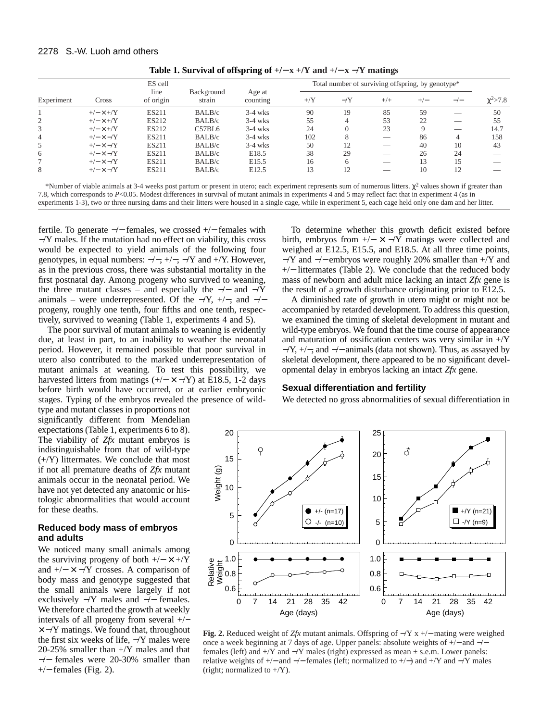|            | Cross            | ES cell<br>line<br>of origin | Background<br>strain | Age at<br>counting | Total number of surviving offspring, by genotype* |             |       |       |               |                |
|------------|------------------|------------------------------|----------------------|--------------------|---------------------------------------------------|-------------|-------|-------|---------------|----------------|
| Experiment |                  |                              |                      |                    | $+$ /Y                                            | $-\sqrt{Y}$ | $+/+$ | $+/-$ | $-\prime$ $-$ | $\chi^2 > 7.8$ |
|            | $+/- \times +/Y$ | ES211                        | BALB/c               | $3-4$ wks          | 90                                                | 19          | 85    | 59    |               | 50             |
|            | $+/- \times +/Y$ | <b>ES212</b>                 | BALB/c               | $3-4$ wks          | 55                                                |             | 53    | 22    |               | 55             |
|            | $+/- \times +/Y$ | ES212                        | C57BL6               | $3-4$ wks          | 24                                                |             | 23    |       |               | 14.7           |
| 4          | $+/- \times -/Y$ | <b>ES211</b>                 | BALB/c               | $3-4$ wks          | 102                                               |             |       | 86    |               | 158            |
|            | $+/- \times -/Y$ | <b>ES211</b>                 | BALB/c               | $3-4$ wks          | 50                                                | 12          |       | 40    | 10            | 43             |
| 6          | $+/- \times -/Y$ | <b>ES211</b>                 | BALB/c               | E18.5              | 38                                                | 29          |       | 26    | 24            |                |
|            | $+/- \times -/Y$ | <b>ES211</b>                 | BALB/c               | E <sub>15.5</sub>  | 16                                                |             |       | 13    |               |                |
| 8          | $+/- \times -/Y$ | ES211                        | BALB/c               | E <sub>12.5</sub>  | 13                                                | 12          |       | 10    |               |                |

**Table 1. Survival of offspring of +/**− **x +/Y and +/**− **x** −**/Y matings**

\*Number of viable animals at 3-4 weeks post partum or present in utero; each experiment represents sum of numerous litters.  $\chi^2$  values shown if greater than 7.8, which corresponds to *P*<0.05. Modest differences in survival of mutant animals in experiments 4 and 5 may reflect fact that in experiment 4 (as in experiments 1-3), two or three nursing dams and their litters were housed in a single cage, while in experiment 5, each cage held only one dam and her litter.

fertile. To generate −/− females, we crossed +/− females with −/Y males. If the mutation had no effect on viability, this cross would be expected to yield animals of the following four genotypes, in equal numbers:  $-/-$ ,  $+/-$ ,  $\gamma$  and  $+$  $\gamma$ . However, as in the previous cross, there was substantial mortality in the first postnatal day. Among progeny who survived to weaning, the three mutant classes – and especially the  $-/-$  and  $\overline{Y}$ animals – were underrepresented. Of the  $-\gamma$ ,  $+\gamma$ , and  $-\gamma$ progeny, roughly one tenth, four fifths and one tenth, respectively, survived to weaning (Table 1, experiments 4 and 5).

The poor survival of mutant animals to weaning is evidently due, at least in part, to an inability to weather the neonatal period. However, it remained possible that poor survival in utero also contributed to the marked underrepresentation of mutant animals at weaning. To test this possibility, we harvested litters from matings  $(+/- \times -/Y)$  at E18.5, 1-2 days before birth would have occurred, or at earlier embryonic stages. Typing of the embryos revealed the presence of wild-

type and mutant classes in proportions not significantly different from Mendelian expectations (Table 1, experiments 6 to 8). The viability of *Zfx* mutant embryos is indistinguishable from that of wild-type (+/Y) littermates. We conclude that most if not all premature deaths of *Zfx* mutant animals occur in the neonatal period. We have not yet detected any anatomic or histologic abnormalities that would account for these deaths.

## **Reduced body mass of embryos and adults**

We noticed many small animals among the surviving progeny of both  $+/- \times +/Y$ and  $+/- \times -/Y$  crosses. A comparison of body mass and genotype suggested that the small animals were largely if not exclusively −/Y males and −/− females. We therefore charted the growth at weekly intervals of all progeny from several +/−  $\times$  –/Y matings. We found that, throughout the first six weeks of life, −/Y males were 20-25% smaller than +/Y males and that −/− females were 20-30% smaller than +/− females (Fig. 2).

To determine whether this growth deficit existed before birth, embryos from  $+/- \times -/Y$  matings were collected and weighed at E12.5, E15.5, and E18.5. At all three time points, −/Y and −/− embryos were roughly 20% smaller than +/Y and +/− littermates (Table 2). We conclude that the reduced body mass of newborn and adult mice lacking an intact *Zfx* gene is the result of a growth disturbance originating prior to E12.5.

A diminished rate of growth in utero might or might not be accompanied by retarded development. To address this question, we examined the timing of skeletal development in mutant and wild-type embryos. We found that the time course of appearance and maturation of ossification centers was very similar in  $+$ /Y −/Y, +/−, and −/− animals (data not shown). Thus, as assayed by skeletal development, there appeared to be no significant developmental delay in embryos lacking an intact *Zfx* gene.

#### **Sexual differentiation and fertility**

We detected no gross abnormalities of sexual differentiation in



**Fig. 2.** Reduced weight of *Zfx* mutant animals. Offspring of −/Y x +/− mating were weighed once a week beginning at 7 days of age. Upper panels: absolute weights of +/− and −/− females (left) and  $+/Y$  and  $-Y$  males (right) expressed as mean  $\pm$  s.e.m. Lower panels: relative weights of +/− and −/− females (left; normalized to +/−) and +/Y and −/Y males (right; normalized to  $+/Y$ ).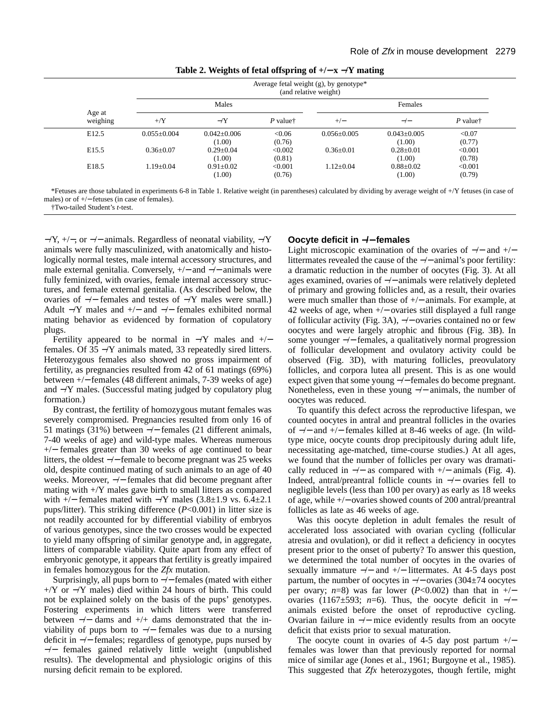|  |  | Table 2. Weights of fetal offspring of $+/- x -/Y$ mating |  |
|--|--|-----------------------------------------------------------|--|
|  |  |                                                           |  |

|                    |                 |                           |                                           | Average fetal weight (g), by genotype*<br>(and relative weight) |                             |                                           |
|--------------------|-----------------|---------------------------|-------------------------------------------|-----------------------------------------------------------------|-----------------------------|-------------------------------------------|
|                    | Males           |                           |                                           | Females                                                         |                             |                                           |
| Age at<br>weighing | $+$ /Y          | $-Y$                      | $P$ value <sup><math>\dagger</math></sup> | $+/-$                                                           | $-\prime -$                 | $P$ value <sup><math>\dagger</math></sup> |
| E <sub>12.5</sub>  | $0.055+0.004$   | $0.042 + 0.006$<br>(1.00) | < 0.06<br>(0.76)                          | $0.056 \pm 0.005$                                               | $0.043 \pm 0.005$<br>(1.00) | < 0.07<br>(0.77)                          |
| E <sub>15.5</sub>  | $0.36 \pm 0.07$ | $0.29 \pm 0.04$<br>(1.00) | < 0.002<br>(0.81)                         | $0.36 + 0.01$                                                   | $0.28 \pm 0.01$<br>(1.00)   | < 0.001<br>(0.78)                         |
| E <sub>18.5</sub>  | $1.19 \pm 0.04$ | $0.91 \pm 0.02$<br>(1.00) | < 0.001<br>(0.76)                         | $1.12 \pm 0.04$                                                 | $0.88 \pm 0.02$<br>(1.00)   | < 0.001<br>(0.79)                         |

\*Fetuses are those tabulated in experiments 6-8 in Table 1. Relative weight (in parentheses) calculated by dividing by average weight of +/Y fetuses (in case of males) or of +/− fetuses (in case of females).

†Two-tailed Student's *t*-test.

 $-\gamma$ ,  $+\gamma$ , or  $-\gamma$  animals. Regardless of neonatal viability,  $-\gamma$ animals were fully masculinized, with anatomically and histologically normal testes, male internal accessory structures, and male external genitalia. Conversely, +/− and −/− animals were fully feminized, with ovaries, female internal accessory structures, and female external genitalia. (As described below, the ovaries of −/− females and testes of −/Y males were small.) Adult −/Y males and +/− and −/− females exhibited normal mating behavior as evidenced by formation of copulatory plugs.

Fertility appeared to be normal in  $-Y$  males and  $+/$ females. Of 35 −/Y animals mated, 33 repeatedly sired litters. Heterozygous females also showed no gross impairment of fertility, as pregnancies resulted from 42 of 61 matings (69%) between +/− females (48 different animals, 7-39 weeks of age) and −/Y males. (Successful mating judged by copulatory plug formation.)

By contrast, the fertility of homozygous mutant females was severely compromised. Pregnancies resulted from only 16 of 51 matings (31%) between −/− females (21 different animals, 7-40 weeks of age) and wild-type males. Whereas numerous +/− females greater than 30 weeks of age continued to bear litters, the oldest −/− female to become pregnant was 25 weeks old, despite continued mating of such animals to an age of 40 weeks. Moreover, −/− females that did become pregnant after mating with  $+$ /Y males gave birth to small litters as compared with  $+/-$  females mated with  $-$ /Y males  $(3.8\pm1.9 \text{ vs. } 6.4\pm2.1)$ pups/litter). This striking difference (*P*<0.001) in litter size is not readily accounted for by differential viability of embryos of various genotypes, since the two crosses would be expected to yield many offspring of similar genotype and, in aggregate, litters of comparable viability. Quite apart from any effect of embryonic genotype, it appears that fertility is greatly impaired in females homozygous for the *Zfx* mutation.

Surprisingly, all pups born to −/− females (mated with either +/Y or −/Y males) died within 24 hours of birth. This could not be explained solely on the basis of the pups' genotypes. Fostering experiments in which litters were transferred between −/− dams and +/+ dams demonstrated that the inviability of pups born to  $-/-$  females was due to a nursing deficit in −/− females; regardless of genotype, pups nursed by −/− females gained relatively little weight (unpublished results). The developmental and physiologic origins of this nursing deficit remain to be explored.

## **Oocyte deficit in** −**/**− **females**

Light microscopic examination of the ovaries of  $-/-$  and  $+/$ littermates revealed the cause of the −/− animal's poor fertility: a dramatic reduction in the number of oocytes (Fig. 3). At all ages examined, ovaries of −/− animals were relatively depleted of primary and growing follicles and, as a result, their ovaries were much smaller than those of +/− animals. For example, at 42 weeks of age, when +/− ovaries still displayed a full range of follicular activity (Fig. 3A), −/− ovaries contained no or few oocytes and were largely atrophic and fibrous (Fig. 3B). In some younger −/− females, a qualitatively normal progression of follicular development and ovulatory activity could be observed (Fig. 3D), with maturing follicles, preovulatory follicles, and corpora lutea all present. This is as one would expect given that some young −/− females do become pregnant. Nonetheless, even in these young −/− animals, the number of oocytes was reduced.

To quantify this defect across the reproductive lifespan, we counted oocytes in antral and preantral follicles in the ovaries of −/− and +/− females killed at 8-46 weeks of age. (In wildtype mice, oocyte counts drop precipitously during adult life, necessitating age-matched, time-course studies.) At all ages, we found that the number of follicles per ovary was dramatically reduced in  $-/-$  as compared with  $+/-$  animals (Fig. 4). Indeed, antral/preantral follicle counts in −/− ovaries fell to negligible levels (less than 100 per ovary) as early as 18 weeks of age, while +/− ovaries showed counts of 200 antral/preantral follicles as late as 46 weeks of age.

Was this oocyte depletion in adult females the result of accelerated loss associated with ovarian cycling (follicular atresia and ovulation), or did it reflect a deficiency in oocytes present prior to the onset of puberty? To answer this question, we determined the total number of oocytes in the ovaries of sexually immature  $-/-$  and  $+/-$  littermates. At 4-5 days post partum, the number of oocytes in −/− ovaries (304±74 oocytes per ovary;  $n=8$ ) was far lower ( $P<0.002$ ) than that in +/− ovaries (1167 $\pm$ 593; *n*=6). Thus, the oocyte deficit in  $-/$ animals existed before the onset of reproductive cycling. Ovarian failure in −/− mice evidently results from an oocyte deficit that exists prior to sexual maturation.

The oocyte count in ovaries of 4-5 day post partum  $+/$ females was lower than that previously reported for normal mice of similar age (Jones et al., 1961; Burgoyne et al., 1985). This suggested that *Zfx* heterozygotes, though fertile, might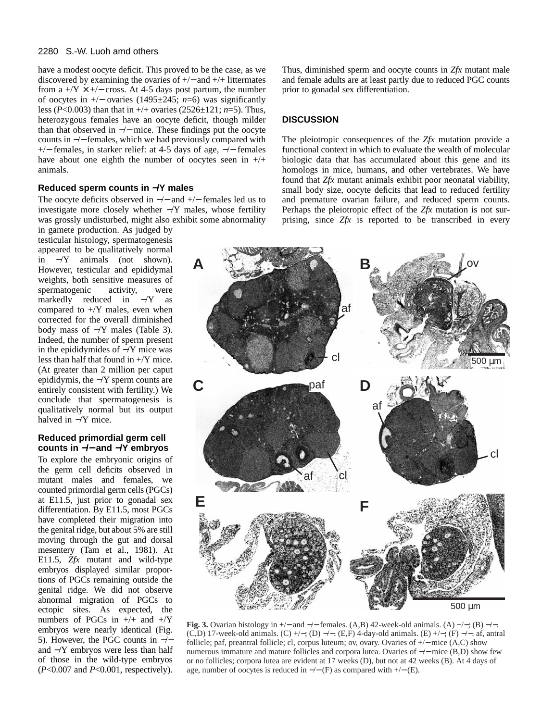have a modest oocyte deficit. This proved to be the case, as we discovered by examining the ovaries of +/− and +/+ littermates from a  $+$ /Y  $\times$  +/− cross. At 4-5 days post partum, the number of oocytes in +/− ovaries (1495±245; *n*=6) was significantly less (*P*<0.003) than that in +/+ ovaries (2526±121; *n*=5). Thus, heterozygous females have an oocyte deficit, though milder than that observed in −/− mice. These findings put the oocyte counts in −/− females, which we had previously compared with +/− females, in starker relief: at 4-5 days of age, −/− females have about one eighth the number of oocytes seen in  $+/+$ animals.

# **Reduced sperm counts in** −**/Y males**

The oocyte deficits observed in −/− and +/− females led us to investigate more closely whether −/Y males, whose fertility was grossly undisturbed, might also exhibit some abnormality

in gamete production. As judged by testicular histology, spermatogenesis appeared to be qualitatively normal in −/Y animals (not shown). However, testicular and epididymal weights, both sensitive measures of spermatogenic activity, were markedly reduced in −/Y as compared to  $+/Y$  males, even when corrected for the overall diminished body mass of −/Y males (Table 3). Indeed, the number of sperm present in the epididymides of −/Y mice was less than half that found in +/Y mice. (At greater than 2 million per caput epididymis, the −/Y sperm counts are entirely consistent with fertility.) We conclude that spermatogenesis is qualitatively normal but its output halved in  $-\gamma Y$  mice.

## **Reduced primordial germ cell counts in** −**/**− **and** −**/Y embryos**

To explore the embryonic origins of the germ cell deficits observed in mutant males and females, we counted primordial germ cells (PGCs) at E11.5, just prior to gonadal sex differentiation. By E11.5, most PGCs have completed their migration into the genital ridge, but about 5% are still moving through the gut and dorsal mesentery (Tam et al., 1981). At E11.5, *Zfx* mutant and wild-type embryos displayed similar proportions of PGCs remaining outside the genital ridge. We did not observe abnormal migration of PGCs to ectopic sites. As expected, the numbers of PGCs in  $+/+$  and  $+/Y$ embryos were nearly identical (Fig. 5). However, the PGC counts in −/− and −/Y embryos were less than half of those in the wild-type embryos (*P*<0.007 and *P*<0.001, respectively).

Thus, diminished sperm and oocyte counts in *Zfx* mutant male and female adults are at least partly due to reduced PGC counts prior to gonadal sex differentiation.

# **DISCUSSION**

The pleiotropic consequences of the *Zfx* mutation provide a functional context in which to evaluate the wealth of molecular biologic data that has accumulated about this gene and its homologs in mice, humans, and other vertebrates. We have found that *Zfx* mutant animals exhibit poor neonatal viability, small body size, oocyte deficits that lead to reduced fertility and premature ovarian failure, and reduced sperm counts. Perhaps the pleiotropic effect of the *Zfx* mutation is not surprising, since *Zfx* is reported to be transcribed in every



**Fig. 3.** Ovarian histology in +/− and  $-/-$  females. (A,B) 42-week-old animals. (A) +/−; (B)  $-/-$ . (C,D) 17-week-old animals. (C) +/-; (D) -/-. (E,F) 4-day-old animals. (E) +/-; (F) -/-. af, antral follicle; paf, preantral follicle; cl, corpus luteum; ov, ovary. Ovaries of +/− mice (A,C) show numerous immature and mature follicles and corpora lutea. Ovaries of −/− mice (B,D) show few or no follicles; corpora lutea are evident at 17 weeks (D), but not at 42 weeks (B). At 4 days of age, number of oocytes is reduced in  $-/-$  (F) as compared with  $+/-$  (E).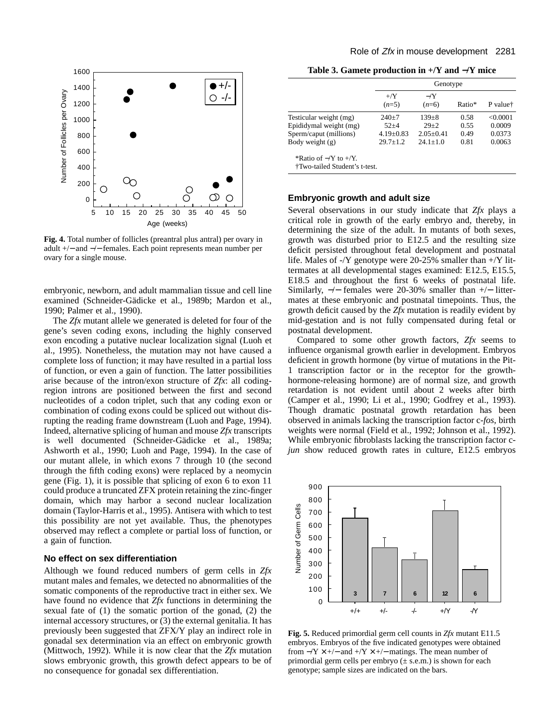

**Fig. 4.** Total number of follicles (preantral plus antral) per ovary in adult +/− and −/− females. Each point represents mean number per ovary for a single mouse.

embryonic, newborn, and adult mammalian tissue and cell line examined (Schneider-Gädicke et al., 1989b; Mardon et al., 1990; Palmer et al., 1990).

The *Zfx* mutant allele we generated is deleted for four of the gene's seven coding exons, including the highly conserved exon encoding a putative nuclear localization signal (Luoh et al., 1995). Nonetheless, the mutation may not have caused a complete loss of function; it may have resulted in a partial loss of function, or even a gain of function. The latter possibilities arise because of the intron/exon structure of *Zfx*: all codingregion introns are positioned between the first and second nucleotides of a codon triplet, such that any coding exon or combination of coding exons could be spliced out without disrupting the reading frame downstream (Luoh and Page, 1994). Indeed, alternative splicing of human and mouse *Zfx* transcripts is well documented (Schneider-Gädicke et al., 1989a; Ashworth et al., 1990; Luoh and Page, 1994). In the case of our mutant allele, in which exons 7 through 10 (the second through the fifth coding exons) were replaced by a neomycin gene (Fig. 1), it is possible that splicing of exon 6 to exon 11 could produce a truncated ZFX protein retaining the zinc-finger domain, which may harbor a second nuclear localization domain (Taylor-Harris et al., 1995). Antisera with which to test this possibility are not yet available. Thus, the phenotypes observed may reflect a complete or partial loss of function, or a gain of function.

# **No effect on sex differentiation**

Although we found reduced numbers of germ cells in *Zfx* mutant males and females, we detected no abnormalities of the somatic components of the reproductive tract in either sex. We have found no evidence that *Zfx* functions in determining the sexual fate of (1) the somatic portion of the gonad, (2) the internal accessory structures, or (3) the external genitalia. It has previously been suggested that ZFX/Y play an indirect role in gonadal sex determination via an effect on embryonic growth (Mittwoch, 1992). While it is now clear that the *Zfx* mutation slows embryonic growth, this growth defect appears to be of no consequence for gonadal sex differentiation.

**Table 3. Gamete production in +/Y and** −**/Y mice**

|                                                                                                 |                                                        | Genotype                                                 |                              |                                        |  |  |  |
|-------------------------------------------------------------------------------------------------|--------------------------------------------------------|----------------------------------------------------------|------------------------------|----------------------------------------|--|--|--|
|                                                                                                 | $+$ /Y<br>$(n=5)$                                      | $-Y$<br>$(n=6)$                                          | Ratio*                       | P value <sup>†</sup>                   |  |  |  |
| Testicular weight (mg)<br>Epididymal weight (mg)<br>Sperm/caput (millions)<br>Body weight $(g)$ | $240+7$<br>$52 + 4$<br>$4.19 \pm 0.83$<br>$29.7 + 1.2$ | $139 + 8$<br>$29 + 2$<br>$2.05 \pm 0.41$<br>$24.1 + 1.0$ | 0.58<br>0.55<br>0.49<br>0.81 | < 0.0001<br>0.0009<br>0.0373<br>0.0063 |  |  |  |
| *Ratio of $-Y$ to $+/Y$ .<br>†Two-tailed Student's t-test.                                      |                                                        |                                                          |                              |                                        |  |  |  |

## **Embryonic growth and adult size**

Several observations in our study indicate that *Zfx* plays a critical role in growth of the early embryo and, thereby, in determining the size of the adult. In mutants of both sexes, growth was disturbed prior to E12.5 and the resulting size deficit persisted throughout fetal development and postnatal life. Males of -/Y genotype were 20-25% smaller than +/Y littermates at all developmental stages examined: E12.5, E15.5, E18.5 and throughout the first 6 weeks of postnatal life. Similarly, −/− females were 20-30% smaller than +/− littermates at these embryonic and postnatal timepoints. Thus, the growth deficit caused by the *Zfx* mutation is readily evident by mid-gestation and is not fully compensated during fetal or postnatal development.

Compared to some other growth factors, *Zfx* seems to influence organismal growth earlier in development. Embryos deficient in growth hormone (by virtue of mutations in the Pit-1 transcription factor or in the receptor for the growthhormone-releasing hormone) are of normal size, and growth retardation is not evident until about 2 weeks after birth (Camper et al., 1990; Li et al., 1990; Godfrey et al., 1993). Though dramatic postnatal growth retardation has been observed in animals lacking the transcription factor c-*fos*, birth weights were normal (Field et al., 1992; Johnson et al., 1992). While embryonic fibroblasts lacking the transcription factor c*jun* show reduced growth rates in culture, E12.5 embryos



**Fig. 5.** Reduced primordial germ cell counts in *Zfx* mutant E11.5 embryos. Embryos of the five indicated genotypes were obtained from  $-Y \times +/-$  and  $+/Y \times +/-$  matings. The mean number of primordial germ cells per embryo  $(\pm s.e.m.)$  is shown for each genotype; sample sizes are indicated on the bars.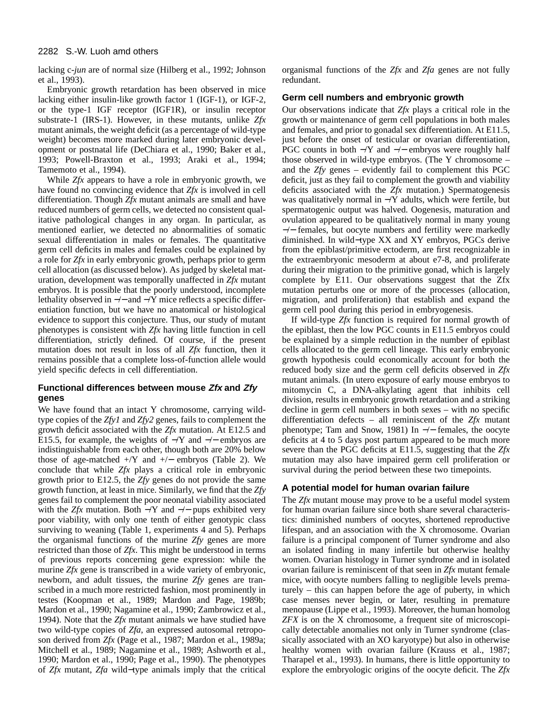lacking c-*jun* are of normal size (Hilberg et al., 1992; Johnson et al., 1993).

Embryonic growth retardation has been observed in mice lacking either insulin-like growth factor 1 (IGF-1), or IGF-2, or the type-1 IGF receptor (IGF1R), or insulin receptor substrate-1 (IRS-1). However, in these mutants, unlike *Zfx* mutant animals, the weight deficit (as a percentage of wild-type weight) becomes more marked during later embryonic development or postnatal life (DeChiara et al., 1990; Baker et al., 1993; Powell-Braxton et al., 1993; Araki et al., 1994; Tamemoto et al., 1994).

While *Zfx* appears to have a role in embryonic growth, we have found no convincing evidence that *Zfx* is involved in cell differentiation. Though *Zfx* mutant animals are small and have reduced numbers of germ cells, we detected no consistent qualitative pathological changes in any organ. In particular, as mentioned earlier, we detected no abnormalities of somatic sexual differentiation in males or females. The quantitative germ cell deficits in males and females could be explained by a role for *Zfx* in early embryonic growth, perhaps prior to germ cell allocation (as discussed below). As judged by skeletal maturation, development was temporally unaffected in *Zfx* mutant embryos. It is possible that the poorly understood, incomplete lethality observed in −/− and −/Y mice reflects a specific differentiation function, but we have no anatomical or histological evidence to support this conjecture. Thus, our study of mutant phenotypes is consistent with *Zfx* having little function in cell differentiation, strictly defined. Of course, if the present mutation does not result in loss of all *Zfx* function, then it remains possible that a complete loss-of-function allele would yield specific defects in cell differentiation.

# **Functional differences between mouse Zfx and Zfy genes**

We have found that an intact Y chromosome, carrying wildtype copies of the *Zfy1* and *Zfy2* genes, fails to complement the growth deficit associated with the *Zfx* mutation. At E12.5 and E15.5, for example, the weights of  $-Y$  and  $-/-$  embryos are indistinguishable from each other, though both are 20% below those of age-matched +/Y and +/− embryos (Table 2). We conclude that while *Zfx* plays a critical role in embryonic growth prior to E12.5, the *Zfy* genes do not provide the same growth function, at least in mice. Similarly, we find that the *Zfy* genes fail to complement the poor neonatal viability associated with the *Zfx* mutation. Both  $-Y$  and  $-/-$  pups exhibited very poor viability, with only one tenth of either genotypic class surviving to weaning (Table 1, experiments 4 and 5). Perhaps the organismal functions of the murine *Zfy* genes are more restricted than those of *Zfx*. This might be understood in terms of previous reports concerning gene expression: while the murine *Zfx* gene is transcribed in a wide variety of embryonic, newborn, and adult tissues, the murine *Zfy* genes are transcribed in a much more restricted fashion, most prominently in testes (Koopman et al., 1989; Mardon and Page, 1989b; Mardon et al., 1990; Nagamine et al., 1990; Zambrowicz et al., 1994). Note that the *Zfx* mutant animals we have studied have two wild-type copies of *Zfa*, an expressed autosomal retroposon derived from *Zfx* (Page et al., 1987; Mardon et al., 1989a; Mitchell et al., 1989; Nagamine et al., 1989; Ashworth et al., 1990; Mardon et al., 1990; Page et al., 1990). The phenotypes of *Zfx* mutant, *Zfa* wild−type animals imply that the critical

organismal functions of the *Zfx* and *Zfa* genes are not fully redundant.

## **Germ cell numbers and embryonic growth**

Our observations indicate that *Zfx* plays a critical role in the growth or maintenance of germ cell populations in both males and females, and prior to gonadal sex differentiation. At E11.5, just before the onset of testicular or ovarian differentiation, PGC counts in both −/Y and −/− embryos were roughly half those observed in wild-type embryos. (The Y chromosome – and the *Zfy* genes – evidently fail to complement this PGC deficit, just as they fail to complement the growth and viability deficits associated with the *Zfx* mutation.) Spermatogenesis was qualitatively normal in −/Y adults, which were fertile, but spermatogenic output was halved. Oogenesis, maturation and ovulation appeared to be qualitatively normal in many young −/− females, but oocyte numbers and fertility were markedly diminished. In wild−type XX and XY embryos, PGCs derive from the epiblast/primitive ectoderm, are first recognizable in the extraembryonic mesoderm at about e7-8, and proliferate during their migration to the primitive gonad, which is largely complete by E11. Our observations suggest that the Zfx mutation perturbs one or more of the processes (allocation, migration, and proliferation) that establish and expand the germ cell pool during this period in embryogenesis.

If wild-type *Zfx* function is required for normal growth of the epiblast, then the low PGC counts in E11.5 embryos could be explained by a simple reduction in the number of epiblast cells allocated to the germ cell lineage. This early embryonic growth hypothesis could economically account for both the reduced body size and the germ cell deficits observed in *Zfx* mutant animals. (In utero exposure of early mouse embryos to mitomycin C, a DNA-alkylating agent that inhibits cell division, results in embryonic growth retardation and a striking decline in germ cell numbers in both sexes – with no specific differentiation defects – all reminiscent of the *Zfx* mutant phenotype; Tam and Snow, 1981) In  $-/-$  females, the oocyte deficits at 4 to 5 days post partum appeared to be much more severe than the PGC deficits at E11.5, suggesting that the *Zfx* mutation may also have impaired germ cell proliferation or survival during the period between these two timepoints.

## **A potential model for human ovarian failure**

The *Zfx* mutant mouse may prove to be a useful model system for human ovarian failure since both share several characteristics: diminished numbers of oocytes, shortened reproductive lifespan, and an association with the X chromosome. Ovarian failure is a principal component of Turner syndrome and also an isolated finding in many infertile but otherwise healthy women. Ovarian histology in Turner syndrome and in isolated ovarian failure is reminiscent of that seen in *Zfx* mutant female mice, with oocyte numbers falling to negligible levels prematurely – this can happen before the age of puberty, in which case menses never begin, or later, resulting in premature menopause (Lippe et al., 1993). Moreover, the human homolog *ZFX* is on the X chromosome, a frequent site of microscopically detectable anomalies not only in Turner syndrome (classically associated with an XO karyotype) but also in otherwise healthy women with ovarian failure (Krauss et al., 1987; Tharapel et al., 1993). In humans, there is little opportunity to explore the embryologic origins of the oocyte deficit. The *Zfx*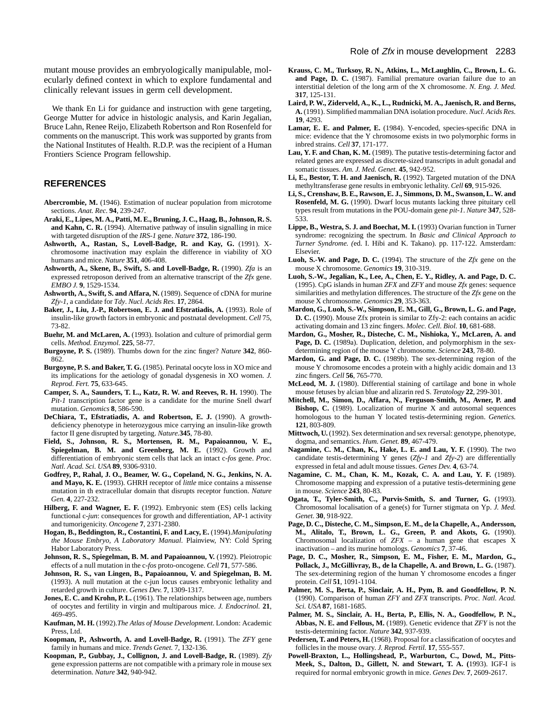We thank En L<sub>i</sub> for guidance and instruction with gene targeting. George Mutter for advice in histologic analysis, and Karin Jegalian, Bruce Lahn, Renee Reijo, Elizabeth Robertson and Ron Rosenfeld for comments on the manuscript. This work was supported by grants from the National Institutes of Health. R.D.P. was the recipient of a Human Frontiers Science Program fellowship.

## **REFERENCES**

- **Abercrombie, M.** (1946). Estimation of nuclear population from microtome sections. *Anat. Rec.* **94**, 239-247.
- **Araki, E., Lipes, M. A., Patti, M. E., Bruning, J. C., Haag, B., Johnson, R. S. and Kahn, C. R.** (1994). Alternative pathway of insulin signalling in mice with targeted disruption of the *IRS-1* gene. *Nature* **372**, 186-190.
- **Ashworth, A., Rastan, S., Lovell-Badge, R. and Kay, G.** (1991). Xchromosome inactivation may explain the difference in viability of XO humans and mice. *Nature* **351**, 406-408.
- **Ashworth, A., Skene, B., Swift, S. and Lovell-Badge, R.** (1990). *Zfa* is an expressed retroposon derived from an alternative transcript of the *Zfx* gene. *EMBO J.* **9**, 1529-1534.
- **Ashworth, A., Swift, S. and Affara, N.** (1989). Sequence of cDNA for murine *Zfy-1*, a candidate for *Tdy*. *Nucl. Acids Res.* **17**, 2864.
- Baker, J., Liu, J.-P., Robertson, E. J. and Efstratiadis, A. (1993). Role of insulin-like growth factors in embryonic and postnatal development. *Cell* 75, 73-82.
- **Buehr, M. and McLaren, A.** (1993). Isolation and culture of primordial germ cells. *Method. Enzymol.* **225**, 58-77.
- **Burgoyne, P. S.** (1989). Thumbs down for the zinc finger? *Nature* **342**, 860- 862.
- **Burgoyne, P. S. and Baker, T. G.** (1985). Perinatal oocyte loss in XO mice and its implications for the aetiology of gonadal dysgenesis in XO women. *J. Reprod. Fert.* **75**, 633-645.
- **Camper, S. A., Saunders, T. L., Katz, R. W. and Reeves, R. H.** 1990). The *Pit-1* transcription factor gene is a candidate for the murine Snell dwarf mutation. *Genomics* **8**, 586-590.
- **DeChiara, T., Efstratiadis, A. and Robertson, E. J.** (1990). A growthdeficiency phenotype in heterozygous mice carrying an insulin-like growth factor II gene disrupted by targeting. *Nature.***345**, 78-80.
- **Field, S., Johnson, R. S., Mortensen, R. M., Papaioannou, V. E., Spiegelman, B. M. and Greenberg, M. E.** (1992). Growth and differentiation of embryonic stem cells that lack an intact c-*fos* gene. *Proc. Natl. Acad. Sci. USA* **89**, 9306-9310.
- **Godfrey, P., Rahal, J. O., Beamer, W. G., Copeland, N. G., Jenkins, N. A. and Mayo, K. E.** (1993). GHRH receptor of *little* mice contains a missense mutation in th extracellular domain that disrupts receptor function. *Nature Gen.* **4**, 227-232.
- **Hilberg, F. and Wagner, E. F.** (1992). Embryonic stem (ES) cells lacking functional c-*jun*: consequences for growth and differentiation, AP-1 activity and tumorigenicity. *Oncogene* **7**, 2371-2380.
- **Hogan, B., Beddington, R., Costantini, F. and Lacy, E.** (1994).*Manipulating the Mouse Embryo, A Laboratory Manual*. Plainview, NY: Cold Spring Habor Laboratory Press.
- Johnson, R. S., Spiegelman, B. M. and Papaioannou, V. (1992). Pleiotropic effects of a null mutation in the c-*fos* proto-oncogene. *Cell* **71**, 577-586.
- **Johnson, R. S., van Lingen, B., Papaioannou, V. and Spiegelman, B. M.** (1993). A null mutation at the c-jun locus causes embryonic lethality and retarded growth in culture. *Genes Dev.* **7**, 1309-1317.
- **Jones, E. C. and Krohn, P. L.** (1961). The relationships between age, numbers of oocytes and fertility in virgin and multiparous mice. *J. Endocrinol.* **21**, 469-495.
- **Kaufman, M. H.** (1992).*The Atlas of Mouse Development*. London: Academic Press, Ltd.
- **Koopman, P., Ashworth, A. and Lovell-Badge, R.** (1991). The *ZFY* gene family in humans and mice. *Trends Genet.* 7, 132-136.
- **Koopman, P., Gubbay, J., Collignon, J. and Lovell-Badge, R.** (1989). *Zfy* gene expression patterns are not compatible with a primary role in mouse sex determination. *Nature* **342**, 940-942.
- **Krauss, C. M., Turksoy, R. N., Atkins, L., McLaughlin, C., Brown, L. G. and Page, D. C.** (1987). Familial premature ovarian failure due to an interstitial deletion of the long arm of the X chromosome. *N. Eng. J. Med.* **317**, 125-131.
- **Laird, P. W., Ziderveld, A., K., L., Rudnicki, M. A., Jaenisch, R. and Berns, A.** (1991). Simplified mammalian DNA isolation procedure. *Nucl. Acids Res.* **19**, 4293.
- **Lamar, E. E. and Palmer, E.** (1984). Y-encoded, species-specific DNA in mice: evidence that the Y chromosome exists in two polymorphic forms in inbred strains. *Cell* **37**, 171-177.
- **Lau, Y. F. and Chan, K. M.** (1989). The putative testis-determining factor and related genes are expressed as discrete-sized transcripts in adult gonadal and somatic tissues. *Am. J. Med. Genet.* **45**, 942-952.
- **Li, E., Bestor, T. H. and Jaenisch, R.** (1992). Targeted mutation of the DNA methyltransferase gene results in embryonic lethality. *Cell* **69**, 915-926.
- **Li, S., Crenshaw, B. E., Rawson, E. J., Simmons, D. M., Swanson, L. W. and Rosenfeld, M. G.** (1990). Dwarf locus mutants lacking three pituitary cell types result from mutations in the POU-domain gene *pit-1*. *Nature* **347**, 528- 533.
- Lippe, B., Westra, S. J. and Boechat, M. I. (1993) Ovarian function in Turner syndrome: recognizing the spectrum. In *Basic and Clinical Approach to Turner Syndrome. (*ed. I. Hibi and K. Takano). pp. 117-122. Amsterdam: Elsevier.
- **Luoh, S.-W. and Page, D. C.** (1994). The structure of the *Zfx* gene on the mouse X chromosome. *Genomics* **19**, 310-319.
- **Luoh, S.-W., Jegalian, K., Lee, A., Chen, E. Y., Ridley, A. and Page, D. C.** (1995). CpG islands in human *ZFX* and *ZFY* and mouse *Zfx* genes: sequence similarities and methylation differences. The structure of the *Zfx* gene on the mouse X chromosome. *Genomics* **29**, 353-363.
- **Mardon, G., Luoh, S.-W., Simpson, E. M., Gill, G., Brown, L. G. and Page, D. C.** (1990). Mouse Zfx protein is similar to Zfy-2: each contains an acidic activating domain and 13 zinc fingers. *Molec. Cell. Biol.* **10**, 681-688.
- **Mardon, G., Mosher, R., Disteche, C. M., Nishioka, Y., McLaren, A. and** Page, D. C. (1989a). Duplication, deletion, and polymorphism in the sexdetermining region of the mouse Y chromosome. *Science* **243**, 78-80.
- **Mardon, G. and Page, D. C.** (1989b). The sex-determining region of the mouse Y chromosome encodes a protein with a highly acidic domain and 13 zinc fingers. *Cell* **56**, 765-770.
- **McLeod, M. J.** (1980). Differential staining of cartilage and bone in whole mouse fetuses by alcian blue and alizarin red S. *Teratology* **22**, 299-301.
- **Mitchell, M., Simon, D., Affara, N., Ferguson-Smith, M., Avner, P. and Bishop, C.** (1989). Localization of murine X and autosomal sequences homologous to the human Y located testis-determining region. *Genetics.* **121**, 803-809.
- **Mittwoch, U.** (1992). Sex determination and sex reversal: genotype, phenotype, dogma, and semantics. *Hum. Genet.* **89**, 467-479.
- Nagamine, C. M., Chan, K., Hake, L. E. and Lau, Y. F. (1990). The two candidate testis-determining Y genes (*Zfy-1* and *Zfy-2*) are differentially expressed in fetal and adult mouse tissues. *Genes Dev.* **4**, 63-74.
- **Nagamine, C. M., Chan, K. M., Kozak, C. A. and Lau, Y. F.** (1989). Chromosome mapping and expression of a putative testis-determining gene in mouse. *Science* **243**, 80-83.
- **Ogata, T., Tyler-Smith, C., Purvis-Smith, S. and Turner, G.** (1993). Chromosomal localisation of a gene(s) for Turner stigmata on Yp. *J. Med. Genet.* **30**, 918-922.
- **Page, D. C., Disteche, C. M., Simpson, E. M., de la Chapelle, A., Andersson, M., Alitalo, T., Brown, L. G., Green, P. and Akots, G.** (1990). Chromosomal localization of *ZFX* – a human gene that escapes X inactivation – and its murine homologs. *Genomics* **7**, 37-46.
- **Page, D. C., Mosher, R., Simpson, E. M., Fisher, E. M., Mardon, G.,** Pollack, J., McGillivray, B., de la Chapelle, A. and Brown, L. G. (1987). The sex-determining region of the human Y chromosome encodes a finger protein. *Cell* **51**, 1091-1104.
- **Palmer, M. S., Berta, P., Sinclair, A. H., Pym, B. and Goodfellow, P. N.** (1990). Comparison of human *ZFY* and *ZFX* transcripts. *Proc. Natl. Acad. Sci. USA* **87**, 1681-1685.
- **Palmer, M. S., Sinclair, A. H., Berta, P., Ellis, N. A., Goodfellow, P. N., Abbas, N. E. and Fellous, M.** (1989). Genetic evidence that *ZFY* is not the testis-determining factor. *Nature* **342**, 937-939.
- Pedersen, T. and Peters, H. (1968). Proposal for a classification of oocytes and follicles in the mouse ovary. *J. Reprod. Fertil.* **17**, 555-557.
- **Powell-Braxton, L., Hollingshead, P., Warburton, C., Dowd, M., Pitts-Meek, S., Dalton, D., Gillett, N. and Stewart, T. A. (**1993). IGF-I is required for normal embryonic growth in mice. *Genes Dev.* **7**, 2609-2617.